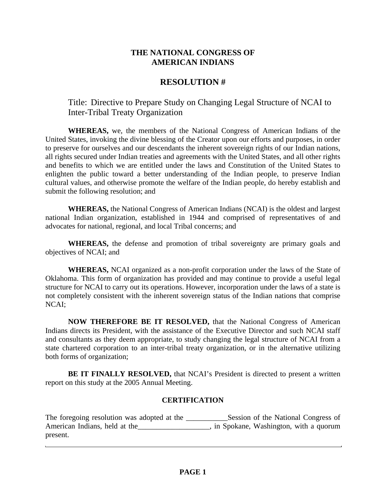## **THE NATIONAL CONGRESS OF AMERICAN INDIANS**

## **RESOLUTION #**

Title: Directive to Prepare Study on Changing Legal Structure of NCAI to Inter-Tribal Treaty Organization

**WHEREAS,** we, the members of the National Congress of American Indians of the United States, invoking the divine blessing of the Creator upon our efforts and purposes, in order to preserve for ourselves and our descendants the inherent sovereign rights of our Indian nations, all rights secured under Indian treaties and agreements with the United States, and all other rights and benefits to which we are entitled under the laws and Constitution of the United States to enlighten the public toward a better understanding of the Indian people, to preserve Indian cultural values, and otherwise promote the welfare of the Indian people, do hereby establish and submit the following resolution; and

**WHEREAS,** the National Congress of American Indians (NCAI) is the oldest and largest national Indian organization, established in 1944 and comprised of representatives of and advocates for national, regional, and local Tribal concerns; and

 **WHEREAS,** the defense and promotion of tribal sovereignty are primary goals and objectives of NCAI; and

**WHEREAS,** NCAI organized as a non-profit corporation under the laws of the State of Oklahoma. This form of organization has provided and may continue to provide a useful legal structure for NCAI to carry out its operations. However, incorporation under the laws of a state is not completely consistent with the inherent sovereign status of the Indian nations that comprise NCAI;

**NOW THEREFORE BE IT RESOLVED,** that the National Congress of American Indians directs its President, with the assistance of the Executive Director and such NCAI staff and consultants as they deem appropriate, to study changing the legal structure of NCAI from a state chartered corporation to an inter-tribal treaty organization, or in the alternative utilizing both forms of organization;

**BE IT FINALLY RESOLVED,** that NCAI's President is directed to present a written report on this study at the 2005 Annual Meeting.

## **CERTIFICATION**

The foregoing resolution was adopted at the \_\_\_\_\_\_\_\_\_\_\_\_\_Session of the National Congress of American Indians, held at the \_\_\_\_\_\_\_\_\_\_\_\_\_\_\_\_, in Spokane, Washington, with a quorum present.